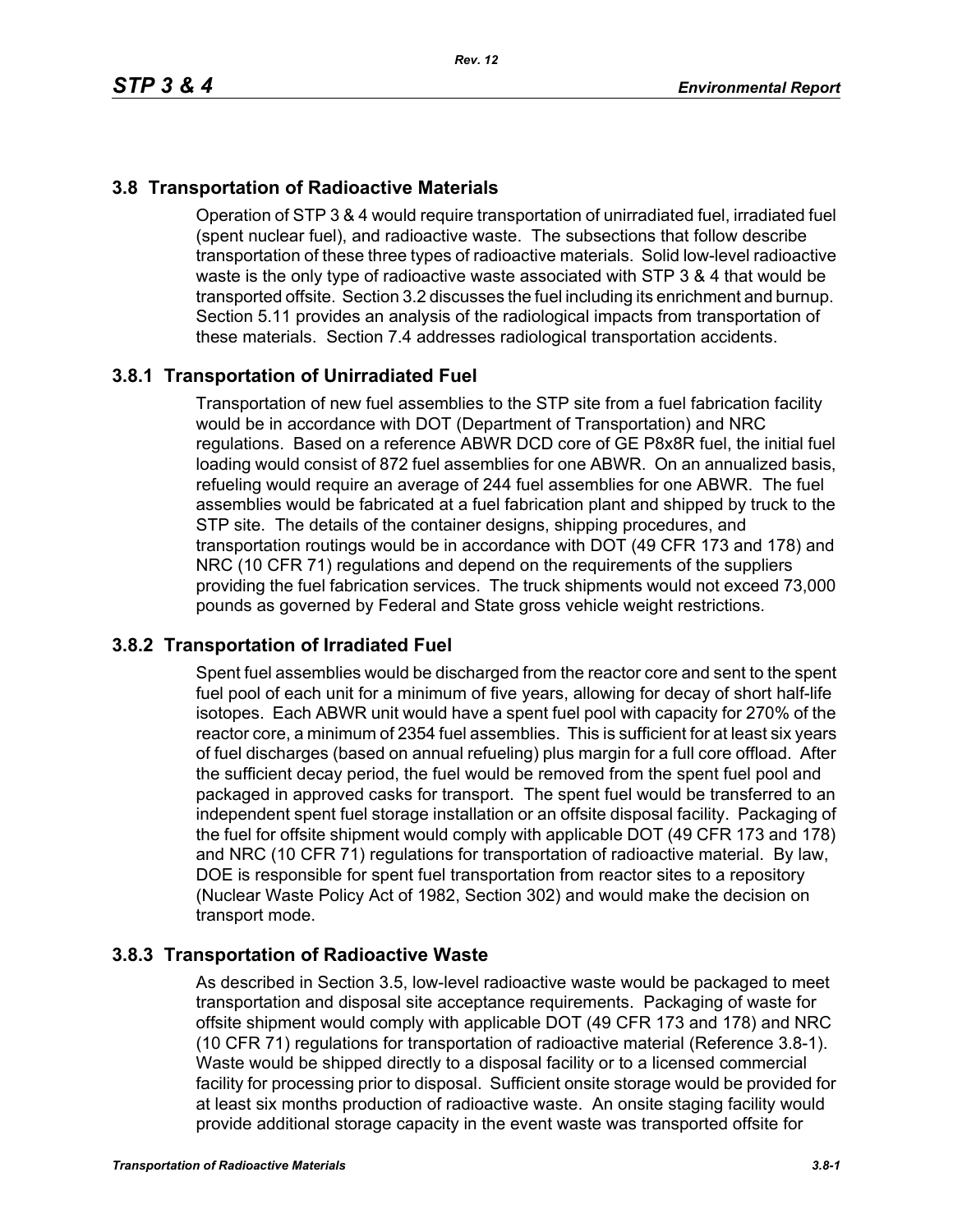# **3.8 Transportation of Radioactive Materials**

Operation of STP 3 & 4 would require transportation of unirradiated fuel, irradiated fuel (spent nuclear fuel), and radioactive waste. The subsections that follow describe transportation of these three types of radioactive materials. Solid low-level radioactive waste is the only type of radioactive waste associated with STP 3 & 4 that would be transported offsite. Section 3.2 discusses the fuel including its enrichment and burnup. Section 5.11 provides an analysis of the radiological impacts from transportation of these materials. Section 7.4 addresses radiological transportation accidents.

## **3.8.1 Transportation of Unirradiated Fuel**

Transportation of new fuel assemblies to the STP site from a fuel fabrication facility would be in accordance with DOT (Department of Transportation) and NRC regulations. Based on a reference ABWR DCD core of GE P8x8R fuel, the initial fuel loading would consist of 872 fuel assemblies for one ABWR. On an annualized basis, refueling would require an average of 244 fuel assemblies for one ABWR. The fuel assemblies would be fabricated at a fuel fabrication plant and shipped by truck to the STP site. The details of the container designs, shipping procedures, and transportation routings would be in accordance with DOT (49 CFR 173 and 178) and NRC (10 CFR 71) regulations and depend on the requirements of the suppliers providing the fuel fabrication services. The truck shipments would not exceed 73,000 pounds as governed by Federal and State gross vehicle weight restrictions.

#### **3.8.2 Transportation of Irradiated Fuel**

Spent fuel assemblies would be discharged from the reactor core and sent to the spent fuel pool of each unit for a minimum of five years, allowing for decay of short half-life isotopes. Each ABWR unit would have a spent fuel pool with capacity for 270% of the reactor core, a minimum of 2354 fuel assemblies. This is sufficient for at least six years of fuel discharges (based on annual refueling) plus margin for a full core offload. After the sufficient decay period, the fuel would be removed from the spent fuel pool and packaged in approved casks for transport. The spent fuel would be transferred to an independent spent fuel storage installation or an offsite disposal facility. Packaging of the fuel for offsite shipment would comply with applicable DOT (49 CFR 173 and 178) and NRC (10 CFR 71) regulations for transportation of radioactive material. By law, DOE is responsible for spent fuel transportation from reactor sites to a repository (Nuclear Waste Policy Act of 1982, Section 302) and would make the decision on transport mode.

#### **3.8.3 Transportation of Radioactive Waste**

As described in Section 3.5, low-level radioactive waste would be packaged to meet transportation and disposal site acceptance requirements. Packaging of waste for offsite shipment would comply with applicable DOT (49 CFR 173 and 178) and NRC (10 CFR 71) regulations for transportation of radioactive material (Reference 3.8-1). Waste would be shipped directly to a disposal facility or to a licensed commercial facility for processing prior to disposal. Sufficient onsite storage would be provided for at least six months production of radioactive waste. An onsite staging facility would provide additional storage capacity in the event waste was transported offsite for